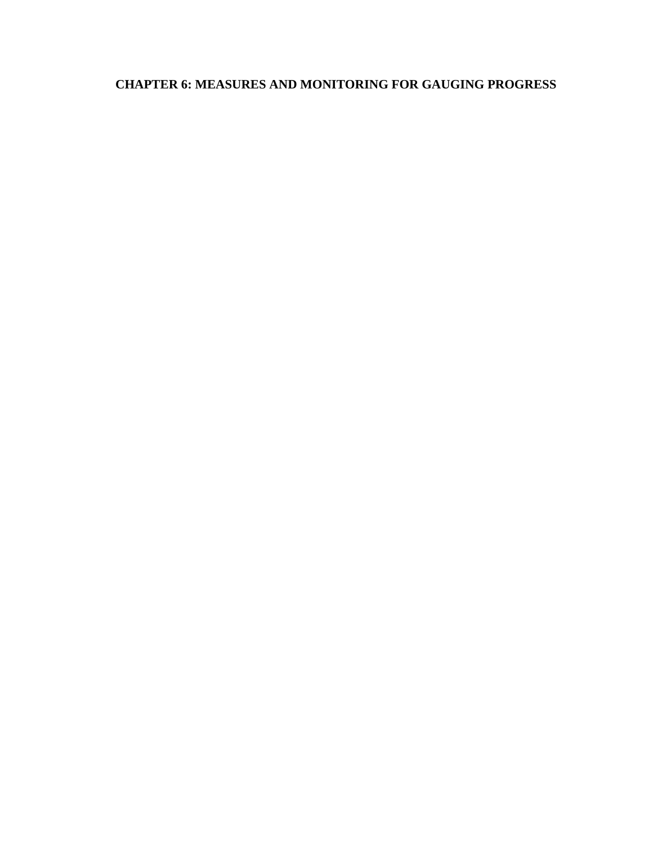# **CHAPTER 6: MEASURES AND MONITORING FOR GAUGING PROGRESS**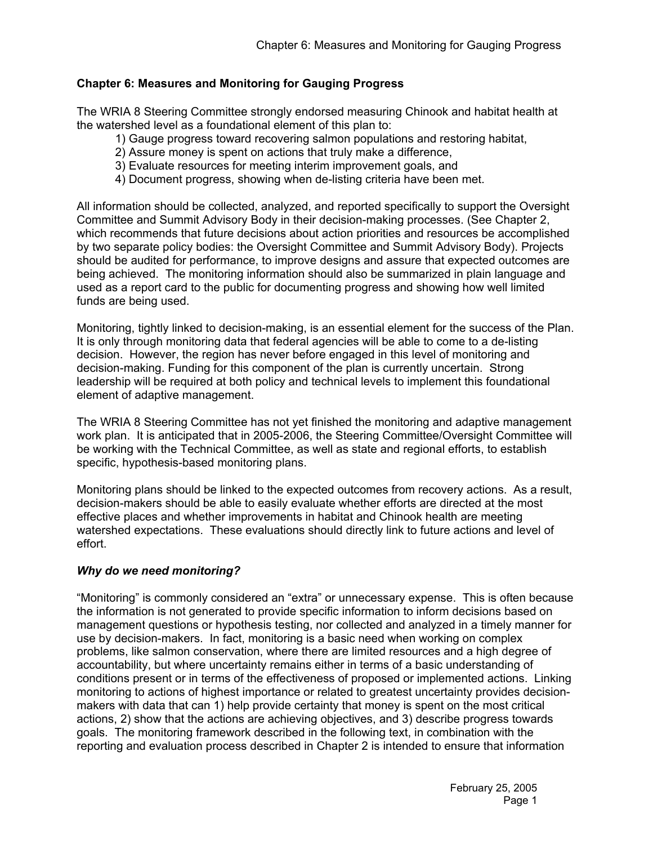# **Chapter 6: Measures and Monitoring for Gauging Progress**

The WRIA 8 Steering Committee strongly endorsed measuring Chinook and habitat health at the watershed level as a foundational element of this plan to:

- 1) Gauge progress toward recovering salmon populations and restoring habitat,
- 2) Assure money is spent on actions that truly make a difference,
- 3) Evaluate resources for meeting interim improvement goals, and
- 4) Document progress, showing when de-listing criteria have been met.

All information should be collected, analyzed, and reported specifically to support the Oversight Committee and Summit Advisory Body in their decision-making processes. (See Chapter 2, which recommends that future decisions about action priorities and resources be accomplished by two separate policy bodies: the Oversight Committee and Summit Advisory Body). Projects should be audited for performance, to improve designs and assure that expected outcomes are being achieved. The monitoring information should also be summarized in plain language and used as a report card to the public for documenting progress and showing how well limited funds are being used.

Monitoring, tightly linked to decision-making, is an essential element for the success of the Plan. It is only through monitoring data that federal agencies will be able to come to a de-listing decision. However, the region has never before engaged in this level of monitoring and decision-making. Funding for this component of the plan is currently uncertain. Strong leadership will be required at both policy and technical levels to implement this foundational element of adaptive management.

The WRIA 8 Steering Committee has not yet finished the monitoring and adaptive management work plan. It is anticipated that in 2005-2006, the Steering Committee/Oversight Committee will be working with the Technical Committee, as well as state and regional efforts, to establish specific, hypothesis-based monitoring plans.

Monitoring plans should be linked to the expected outcomes from recovery actions. As a result, decision-makers should be able to easily evaluate whether efforts are directed at the most effective places and whether improvements in habitat and Chinook health are meeting watershed expectations. These evaluations should directly link to future actions and level of effort.

## *Why do we need monitoring?*

"Monitoring" is commonly considered an "extra" or unnecessary expense. This is often because the information is not generated to provide specific information to inform decisions based on management questions or hypothesis testing, nor collected and analyzed in a timely manner for use by decision-makers. In fact, monitoring is a basic need when working on complex problems, like salmon conservation, where there are limited resources and a high degree of accountability, but where uncertainty remains either in terms of a basic understanding of conditions present or in terms of the effectiveness of proposed or implemented actions. Linking monitoring to actions of highest importance or related to greatest uncertainty provides decisionmakers with data that can 1) help provide certainty that money is spent on the most critical actions, 2) show that the actions are achieving objectives, and 3) describe progress towards goals. The monitoring framework described in the following text, in combination with the reporting and evaluation process described in Chapter 2 is intended to ensure that information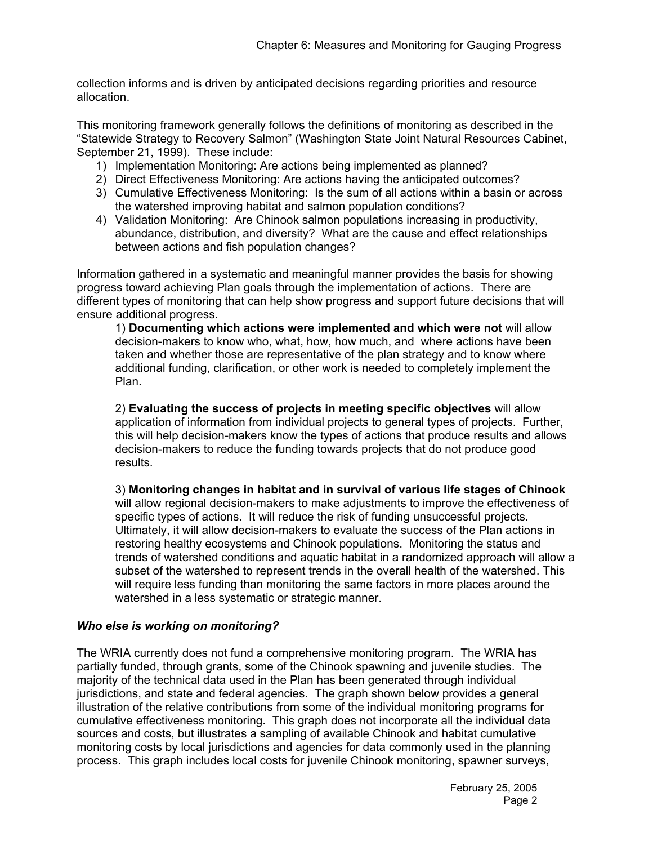collection informs and is driven by anticipated decisions regarding priorities and resource allocation.

This monitoring framework generally follows the definitions of monitoring as described in the "Statewide Strategy to Recovery Salmon" (Washington State Joint Natural Resources Cabinet, September 21, 1999). These include:

- 1) Implementation Monitoring: Are actions being implemented as planned?
- 2) Direct Effectiveness Monitoring: Are actions having the anticipated outcomes?
- 3) Cumulative Effectiveness Monitoring: Is the sum of all actions within a basin or across the watershed improving habitat and salmon population conditions?
- 4) Validation Monitoring: Are Chinook salmon populations increasing in productivity, abundance, distribution, and diversity? What are the cause and effect relationships between actions and fish population changes?

Information gathered in a systematic and meaningful manner provides the basis for showing progress toward achieving Plan goals through the implementation of actions. There are different types of monitoring that can help show progress and support future decisions that will ensure additional progress.

1) **Documenting which actions were implemented and which were not** will allow decision-makers to know who, what, how, how much, and where actions have been taken and whether those are representative of the plan strategy and to know where additional funding, clarification, or other work is needed to completely implement the Plan.

2) **Evaluating the success of projects in meeting specific objectives** will allow application of information from individual projects to general types of projects. Further, this will help decision-makers know the types of actions that produce results and allows decision-makers to reduce the funding towards projects that do not produce good results.

3) **Monitoring changes in habitat and in survival of various life stages of Chinook** will allow regional decision-makers to make adjustments to improve the effectiveness of specific types of actions. It will reduce the risk of funding unsuccessful projects. Ultimately, it will allow decision-makers to evaluate the success of the Plan actions in restoring healthy ecosystems and Chinook populations. Monitoring the status and trends of watershed conditions and aquatic habitat in a randomized approach will allow a subset of the watershed to represent trends in the overall health of the watershed. This will require less funding than monitoring the same factors in more places around the watershed in a less systematic or strategic manner.

## *Who else is working on monitoring?*

The WRIA currently does not fund a comprehensive monitoring program. The WRIA has partially funded, through grants, some of the Chinook spawning and juvenile studies. The majority of the technical data used in the Plan has been generated through individual jurisdictions, and state and federal agencies. The graph shown below provides a general illustration of the relative contributions from some of the individual monitoring programs for cumulative effectiveness monitoring. This graph does not incorporate all the individual data sources and costs, but illustrates a sampling of available Chinook and habitat cumulative monitoring costs by local jurisdictions and agencies for data commonly used in the planning process. This graph includes local costs for juvenile Chinook monitoring, spawner surveys,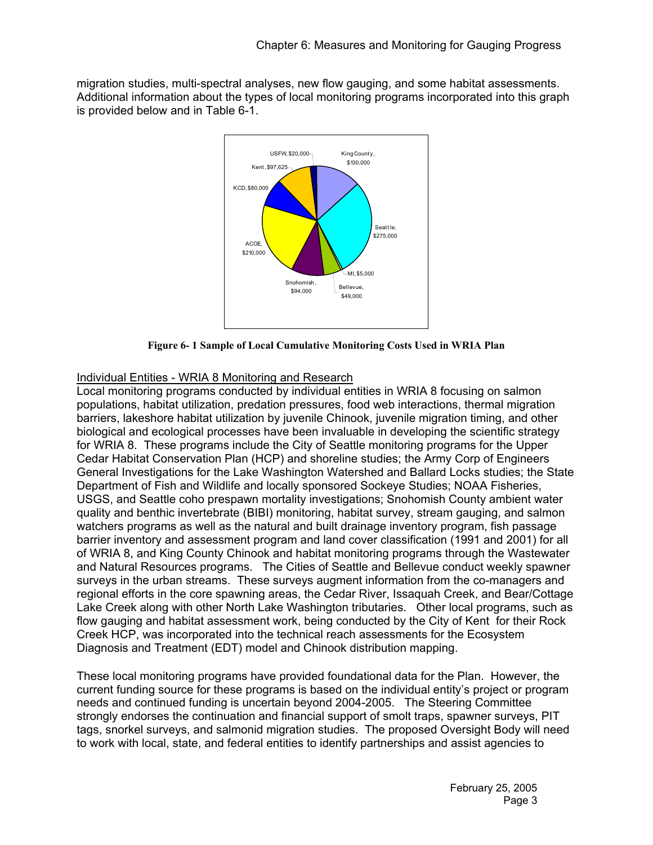migration studies, multi-spectral analyses, new flow gauging, and some habitat assessments. Additional information about the types of local monitoring programs incorporated into this graph is provided below and in Table 6-1.



**Figure 6- 1 Sample of Local Cumulative Monitoring Costs Used in WRIA Plan** 

# Individual Entities - WRIA 8 Monitoring and Research

Local monitoring programs conducted by individual entities in WRIA 8 focusing on salmon populations, habitat utilization, predation pressures, food web interactions, thermal migration barriers, lakeshore habitat utilization by juvenile Chinook, juvenile migration timing, and other biological and ecological processes have been invaluable in developing the scientific strategy for WRIA 8. These programs include the City of Seattle monitoring programs for the Upper Cedar Habitat Conservation Plan (HCP) and shoreline studies; the Army Corp of Engineers General Investigations for the Lake Washington Watershed and Ballard Locks studies; the State Department of Fish and Wildlife and locally sponsored Sockeye Studies; NOAA Fisheries, USGS, and Seattle coho prespawn mortality investigations; Snohomish County ambient water quality and benthic invertebrate (BIBI) monitoring, habitat survey, stream gauging, and salmon watchers programs as well as the natural and built drainage inventory program, fish passage barrier inventory and assessment program and land cover classification (1991 and 2001) for all of WRIA 8, and King County Chinook and habitat monitoring programs through the Wastewater and Natural Resources programs. The Cities of Seattle and Bellevue conduct weekly spawner surveys in the urban streams. These surveys augment information from the co-managers and regional efforts in the core spawning areas, the Cedar River, Issaquah Creek, and Bear/Cottage Lake Creek along with other North Lake Washington tributaries. Other local programs, such as flow gauging and habitat assessment work, being conducted by the City of Kent for their Rock Creek HCP, was incorporated into the technical reach assessments for the Ecosystem Diagnosis and Treatment (EDT) model and Chinook distribution mapping.

These local monitoring programs have provided foundational data for the Plan. However, the current funding source for these programs is based on the individual entity's project or program needs and continued funding is uncertain beyond 2004-2005. The Steering Committee strongly endorses the continuation and financial support of smolt traps, spawner surveys, PIT tags, snorkel surveys, and salmonid migration studies. The proposed Oversight Body will need to work with local, state, and federal entities to identify partnerships and assist agencies to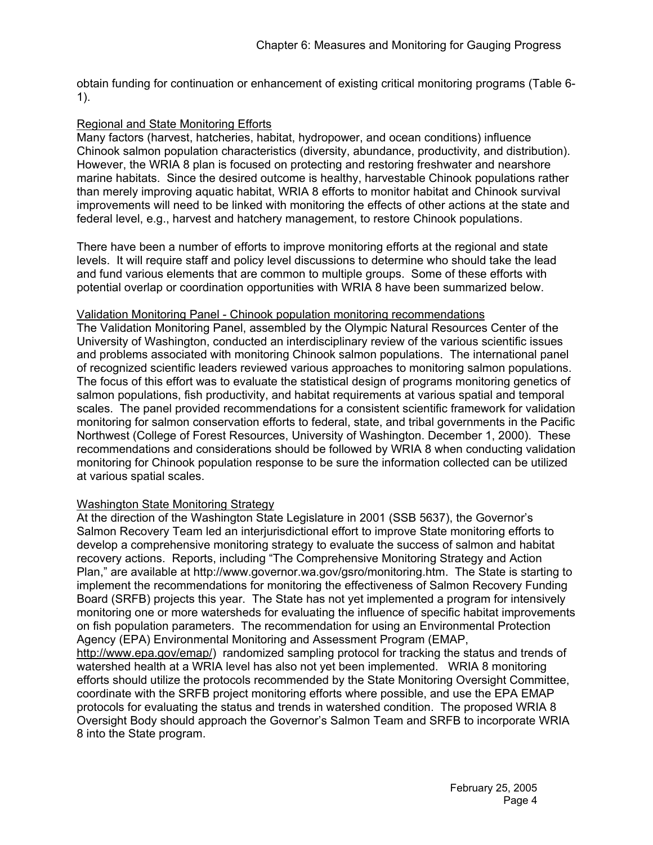obtain funding for continuation or enhancement of existing critical monitoring programs (Table 6- 1).

# Regional and State Monitoring Efforts

Many factors (harvest, hatcheries, habitat, hydropower, and ocean conditions) influence Chinook salmon population characteristics (diversity, abundance, productivity, and distribution). However, the WRIA 8 plan is focused on protecting and restoring freshwater and nearshore marine habitats. Since the desired outcome is healthy, harvestable Chinook populations rather than merely improving aquatic habitat, WRIA 8 efforts to monitor habitat and Chinook survival improvements will need to be linked with monitoring the effects of other actions at the state and federal level, e.g., harvest and hatchery management, to restore Chinook populations.

There have been a number of efforts to improve monitoring efforts at the regional and state levels. It will require staff and policy level discussions to determine who should take the lead and fund various elements that are common to multiple groups. Some of these efforts with potential overlap or coordination opportunities with WRIA 8 have been summarized below.

## Validation Monitoring Panel - Chinook population monitoring recommendations

The Validation Monitoring Panel, assembled by the Olympic Natural Resources Center of the University of Washington, conducted an interdisciplinary review of the various scientific issues and problems associated with monitoring Chinook salmon populations. The international panel of recognized scientific leaders reviewed various approaches to monitoring salmon populations. The focus of this effort was to evaluate the statistical design of programs monitoring genetics of salmon populations, fish productivity, and habitat requirements at various spatial and temporal scales. The panel provided recommendations for a consistent scientific framework for validation monitoring for salmon conservation efforts to federal, state, and tribal governments in the Pacific Northwest (College of Forest Resources, University of Washington. December 1, 2000). These recommendations and considerations should be followed by WRIA 8 when conducting validation monitoring for Chinook population response to be sure the information collected can be utilized at various spatial scales.

## Washington State Monitoring Strategy

At the direction of the Washington State Legislature in 2001 (SSB 5637), the Governor's Salmon Recovery Team led an interjurisdictional effort to improve State monitoring efforts to develop a comprehensive monitoring strategy to evaluate the success of salmon and habitat recovery actions. Reports, including "The Comprehensive Monitoring Strategy and Action Plan," are available at http://www.governor.wa.gov/gsro/monitoring.htm. The State is starting to implement the recommendations for monitoring the effectiveness of Salmon Recovery Funding Board (SRFB) projects this year. The State has not yet implemented a program for intensively monitoring one or more watersheds for evaluating the influence of specific habitat improvements on fish population parameters. The recommendation for using an Environmental Protection Agency (EPA) Environmental Monitoring and Assessment Program (EMAP, http://www.epa.gov/emap/) randomized sampling protocol for tracking the status and trends of watershed health at a WRIA level has also not yet been implemented. WRIA 8 monitoring efforts should utilize the protocols recommended by the State Monitoring Oversight Committee,

coordinate with the SRFB project monitoring efforts where possible, and use the EPA EMAP protocols for evaluating the status and trends in watershed condition. The proposed WRIA 8 Oversight Body should approach the Governor's Salmon Team and SRFB to incorporate WRIA 8 into the State program.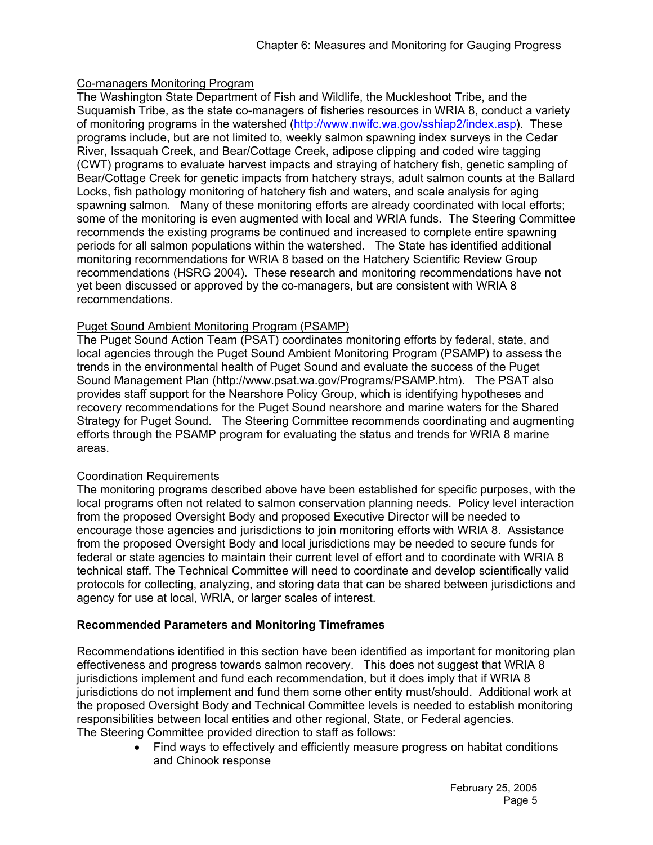# Co-managers Monitoring Program

The Washington State Department of Fish and Wildlife, the Muckleshoot Tribe, and the Suquamish Tribe, as the state co-managers of fisheries resources in WRIA 8, conduct a variety of monitoring programs in the watershed (http://www.nwifc.wa.gov/sshiap2/index.asp). These programs include, but are not limited to, weekly salmon spawning index surveys in the Cedar River, Issaquah Creek, and Bear/Cottage Creek, adipose clipping and coded wire tagging (CWT) programs to evaluate harvest impacts and straying of hatchery fish, genetic sampling of Bear/Cottage Creek for genetic impacts from hatchery strays, adult salmon counts at the Ballard Locks, fish pathology monitoring of hatchery fish and waters, and scale analysis for aging spawning salmon. Many of these monitoring efforts are already coordinated with local efforts; some of the monitoring is even augmented with local and WRIA funds. The Steering Committee recommends the existing programs be continued and increased to complete entire spawning periods for all salmon populations within the watershed. The State has identified additional monitoring recommendations for WRIA 8 based on the Hatchery Scientific Review Group recommendations (HSRG 2004). These research and monitoring recommendations have not yet been discussed or approved by the co-managers, but are consistent with WRIA 8 recommendations.

# Puget Sound Ambient Monitoring Program (PSAMP)

The Puget Sound Action Team (PSAT) coordinates monitoring efforts by federal, state, and local agencies through the Puget Sound Ambient Monitoring Program (PSAMP) to assess the trends in the environmental health of Puget Sound and evaluate the success of the Puget Sound Management Plan (http://www.psat.wa.gov/Programs/PSAMP.htm). The PSAT also provides staff support for the Nearshore Policy Group, which is identifying hypotheses and recovery recommendations for the Puget Sound nearshore and marine waters for the Shared Strategy for Puget Sound. The Steering Committee recommends coordinating and augmenting efforts through the PSAMP program for evaluating the status and trends for WRIA 8 marine areas.

# Coordination Requirements

The monitoring programs described above have been established for specific purposes, with the local programs often not related to salmon conservation planning needs. Policy level interaction from the proposed Oversight Body and proposed Executive Director will be needed to encourage those agencies and jurisdictions to join monitoring efforts with WRIA 8. Assistance from the proposed Oversight Body and local jurisdictions may be needed to secure funds for federal or state agencies to maintain their current level of effort and to coordinate with WRIA 8 technical staff. The Technical Committee will need to coordinate and develop scientifically valid protocols for collecting, analyzing, and storing data that can be shared between jurisdictions and agency for use at local, WRIA, or larger scales of interest.

# **Recommended Parameters and Monitoring Timeframes**

Recommendations identified in this section have been identified as important for monitoring plan effectiveness and progress towards salmon recovery. This does not suggest that WRIA 8 jurisdictions implement and fund each recommendation, but it does imply that if WRIA 8 jurisdictions do not implement and fund them some other entity must/should. Additional work at the proposed Oversight Body and Technical Committee levels is needed to establish monitoring responsibilities between local entities and other regional, State, or Federal agencies. The Steering Committee provided direction to staff as follows:

> • Find ways to effectively and efficiently measure progress on habitat conditions and Chinook response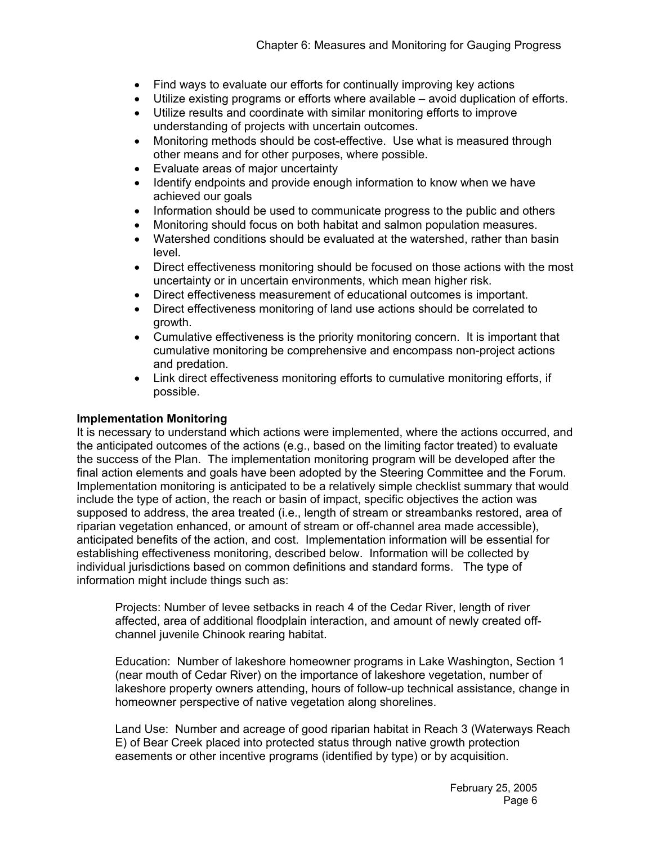- Find ways to evaluate our efforts for continually improving key actions
- Utilize existing programs or efforts where available avoid duplication of efforts.
- Utilize results and coordinate with similar monitoring efforts to improve understanding of projects with uncertain outcomes.
- Monitoring methods should be cost-effective. Use what is measured through other means and for other purposes, where possible.
- Evaluate areas of major uncertainty
- Identify endpoints and provide enough information to know when we have achieved our goals
- Information should be used to communicate progress to the public and others
- Monitoring should focus on both habitat and salmon population measures.
- Watershed conditions should be evaluated at the watershed, rather than basin level.
- Direct effectiveness monitoring should be focused on those actions with the most uncertainty or in uncertain environments, which mean higher risk.
- Direct effectiveness measurement of educational outcomes is important.
- Direct effectiveness monitoring of land use actions should be correlated to growth.
- Cumulative effectiveness is the priority monitoring concern. It is important that cumulative monitoring be comprehensive and encompass non-project actions and predation.
- Link direct effectiveness monitoring efforts to cumulative monitoring efforts, if possible.

#### **Implementation Monitoring**

It is necessary to understand which actions were implemented, where the actions occurred, and the anticipated outcomes of the actions (e.g., based on the limiting factor treated) to evaluate the success of the Plan. The implementation monitoring program will be developed after the final action elements and goals have been adopted by the Steering Committee and the Forum. Implementation monitoring is anticipated to be a relatively simple checklist summary that would include the type of action, the reach or basin of impact, specific objectives the action was supposed to address, the area treated (i.e., length of stream or streambanks restored, area of riparian vegetation enhanced, or amount of stream or off-channel area made accessible), anticipated benefits of the action, and cost. Implementation information will be essential for establishing effectiveness monitoring, described below. Information will be collected by individual jurisdictions based on common definitions and standard forms. The type of information might include things such as:

Projects: Number of levee setbacks in reach 4 of the Cedar River, length of river affected, area of additional floodplain interaction, and amount of newly created offchannel juvenile Chinook rearing habitat.

Education: Number of lakeshore homeowner programs in Lake Washington, Section 1 (near mouth of Cedar River) on the importance of lakeshore vegetation, number of lakeshore property owners attending, hours of follow-up technical assistance, change in homeowner perspective of native vegetation along shorelines.

Land Use: Number and acreage of good riparian habitat in Reach 3 (Waterways Reach E) of Bear Creek placed into protected status through native growth protection easements or other incentive programs (identified by type) or by acquisition.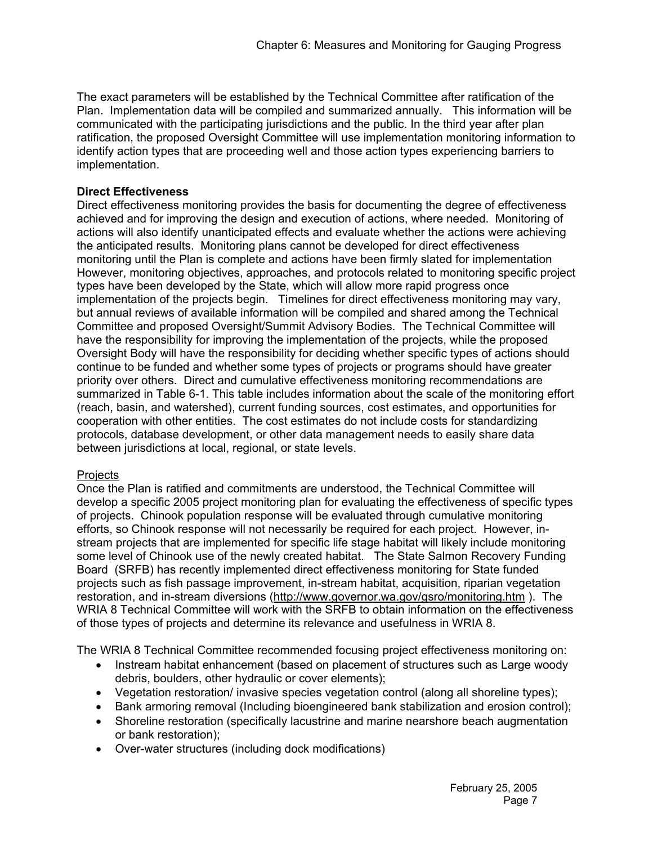The exact parameters will be established by the Technical Committee after ratification of the Plan. Implementation data will be compiled and summarized annually. This information will be communicated with the participating jurisdictions and the public. In the third year after plan ratification, the proposed Oversight Committee will use implementation monitoring information to identify action types that are proceeding well and those action types experiencing barriers to implementation.

# **Direct Effectiveness**

Direct effectiveness monitoring provides the basis for documenting the degree of effectiveness achieved and for improving the design and execution of actions, where needed. Monitoring of actions will also identify unanticipated effects and evaluate whether the actions were achieving the anticipated results. Monitoring plans cannot be developed for direct effectiveness monitoring until the Plan is complete and actions have been firmly slated for implementation However, monitoring objectives, approaches, and protocols related to monitoring specific project types have been developed by the State, which will allow more rapid progress once implementation of the projects begin. Timelines for direct effectiveness monitoring may vary, but annual reviews of available information will be compiled and shared among the Technical Committee and proposed Oversight/Summit Advisory Bodies. The Technical Committee will have the responsibility for improving the implementation of the projects, while the proposed Oversight Body will have the responsibility for deciding whether specific types of actions should continue to be funded and whether some types of projects or programs should have greater priority over others. Direct and cumulative effectiveness monitoring recommendations are summarized in Table 6-1. This table includes information about the scale of the monitoring effort (reach, basin, and watershed), current funding sources, cost estimates, and opportunities for cooperation with other entities. The cost estimates do not include costs for standardizing protocols, database development, or other data management needs to easily share data between jurisdictions at local, regional, or state levels.

# **Projects**

Once the Plan is ratified and commitments are understood, the Technical Committee will develop a specific 2005 project monitoring plan for evaluating the effectiveness of specific types of projects. Chinook population response will be evaluated through cumulative monitoring efforts, so Chinook response will not necessarily be required for each project. However, instream projects that are implemented for specific life stage habitat will likely include monitoring some level of Chinook use of the newly created habitat. The State Salmon Recovery Funding Board (SRFB) has recently implemented direct effectiveness monitoring for State funded projects such as fish passage improvement, in-stream habitat, acquisition, riparian vegetation restoration, and in-stream diversions (http://www.governor.wa.gov/gsro/monitoring.htm ). The WRIA 8 Technical Committee will work with the SRFB to obtain information on the effectiveness of those types of projects and determine its relevance and usefulness in WRIA 8.

The WRIA 8 Technical Committee recommended focusing project effectiveness monitoring on:

- Instream habitat enhancement (based on placement of structures such as Large woody debris, boulders, other hydraulic or cover elements);
- Vegetation restoration/ invasive species vegetation control (along all shoreline types);
- Bank armoring removal (Including bioengineered bank stabilization and erosion control);
- Shoreline restoration (specifically lacustrine and marine nearshore beach augmentation or bank restoration);
- Over-water structures (including dock modifications)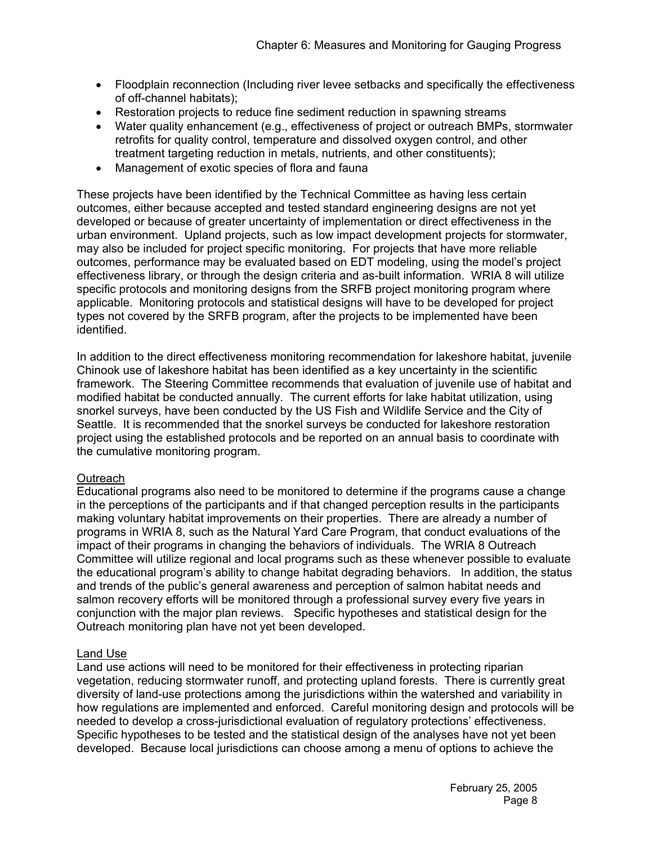- Floodplain reconnection (Including river levee setbacks and specifically the effectiveness of off-channel habitats);
- Restoration projects to reduce fine sediment reduction in spawning streams
- Water quality enhancement (e.g., effectiveness of project or outreach BMPs, stormwater retrofits for quality control, temperature and dissolved oxygen control, and other treatment targeting reduction in metals, nutrients, and other constituents);
- Management of exotic species of flora and fauna

These projects have been identified by the Technical Committee as having less certain outcomes, either because accepted and tested standard engineering designs are not yet developed or because of greater uncertainty of implementation or direct effectiveness in the urban environment. Upland projects, such as low impact development projects for stormwater, may also be included for project specific monitoring. For projects that have more reliable outcomes, performance may be evaluated based on EDT modeling, using the model's project effectiveness library, or through the design criteria and as-built information. WRIA 8 will utilize specific protocols and monitoring designs from the SRFB project monitoring program where applicable. Monitoring protocols and statistical designs will have to be developed for project types not covered by the SRFB program, after the projects to be implemented have been identified.

In addition to the direct effectiveness monitoring recommendation for lakeshore habitat, juvenile Chinook use of lakeshore habitat has been identified as a key uncertainty in the scientific framework. The Steering Committee recommends that evaluation of juvenile use of habitat and modified habitat be conducted annually. The current efforts for lake habitat utilization, using snorkel surveys, have been conducted by the US Fish and Wildlife Service and the City of Seattle. It is recommended that the snorkel surveys be conducted for lakeshore restoration project using the established protocols and be reported on an annual basis to coordinate with the cumulative monitoring program.

## **Outreach**

Educational programs also need to be monitored to determine if the programs cause a change in the perceptions of the participants and if that changed perception results in the participants making voluntary habitat improvements on their properties. There are already a number of programs in WRIA 8, such as the Natural Yard Care Program, that conduct evaluations of the impact of their programs in changing the behaviors of individuals. The WRIA 8 Outreach Committee will utilize regional and local programs such as these whenever possible to evaluate the educational program's ability to change habitat degrading behaviors. In addition, the status and trends of the public's general awareness and perception of salmon habitat needs and salmon recovery efforts will be monitored through a professional survey every five years in conjunction with the major plan reviews. Specific hypotheses and statistical design for the Outreach monitoring plan have not yet been developed.

## Land Use

Land use actions will need to be monitored for their effectiveness in protecting riparian vegetation, reducing stormwater runoff, and protecting upland forests. There is currently great diversity of land-use protections among the jurisdictions within the watershed and variability in how regulations are implemented and enforced. Careful monitoring design and protocols will be needed to develop a cross-jurisdictional evaluation of regulatory protections' effectiveness. Specific hypotheses to be tested and the statistical design of the analyses have not yet been developed. Because local jurisdictions can choose among a menu of options to achieve the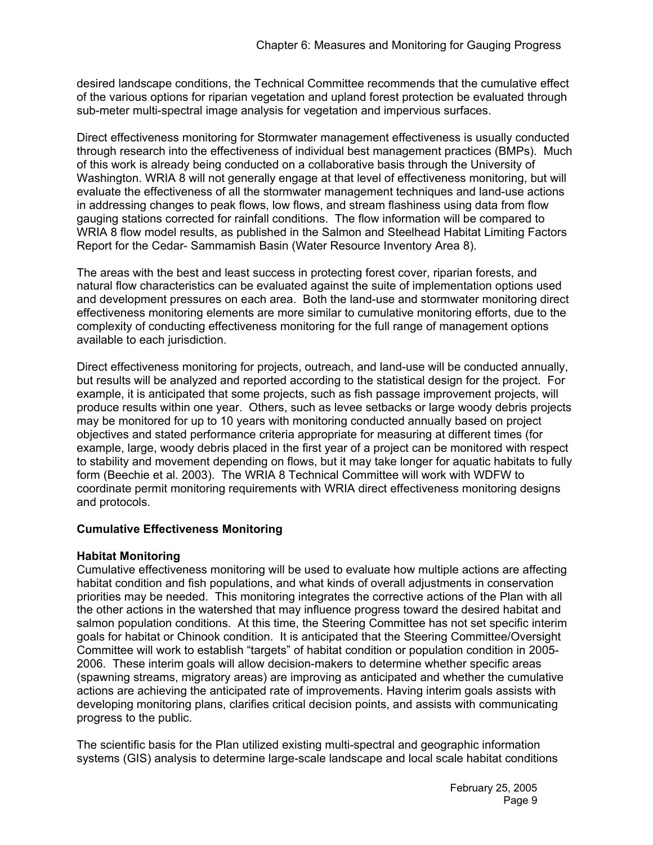desired landscape conditions, the Technical Committee recommends that the cumulative effect of the various options for riparian vegetation and upland forest protection be evaluated through sub-meter multi-spectral image analysis for vegetation and impervious surfaces.

Direct effectiveness monitoring for Stormwater management effectiveness is usually conducted through research into the effectiveness of individual best management practices (BMPs). Much of this work is already being conducted on a collaborative basis through the University of Washington. WRIA 8 will not generally engage at that level of effectiveness monitoring, but will evaluate the effectiveness of all the stormwater management techniques and land-use actions in addressing changes to peak flows, low flows, and stream flashiness using data from flow gauging stations corrected for rainfall conditions. The flow information will be compared to WRIA 8 flow model results, as published in the Salmon and Steelhead Habitat Limiting Factors Report for the Cedar- Sammamish Basin (Water Resource Inventory Area 8).

The areas with the best and least success in protecting forest cover, riparian forests, and natural flow characteristics can be evaluated against the suite of implementation options used and development pressures on each area. Both the land-use and stormwater monitoring direct effectiveness monitoring elements are more similar to cumulative monitoring efforts, due to the complexity of conducting effectiveness monitoring for the full range of management options available to each jurisdiction.

Direct effectiveness monitoring for projects, outreach, and land-use will be conducted annually, but results will be analyzed and reported according to the statistical design for the project. For example, it is anticipated that some projects, such as fish passage improvement projects, will produce results within one year. Others, such as levee setbacks or large woody debris projects may be monitored for up to 10 years with monitoring conducted annually based on project objectives and stated performance criteria appropriate for measuring at different times (for example, large, woody debris placed in the first year of a project can be monitored with respect to stability and movement depending on flows, but it may take longer for aquatic habitats to fully form (Beechie et al. 2003). The WRIA 8 Technical Committee will work with WDFW to coordinate permit monitoring requirements with WRIA direct effectiveness monitoring designs and protocols.

# **Cumulative Effectiveness Monitoring**

## **Habitat Monitoring**

Cumulative effectiveness monitoring will be used to evaluate how multiple actions are affecting habitat condition and fish populations, and what kinds of overall adjustments in conservation priorities may be needed. This monitoring integrates the corrective actions of the Plan with all the other actions in the watershed that may influence progress toward the desired habitat and salmon population conditions. At this time, the Steering Committee has not set specific interim goals for habitat or Chinook condition. It is anticipated that the Steering Committee/Oversight Committee will work to establish "targets" of habitat condition or population condition in 2005- 2006. These interim goals will allow decision-makers to determine whether specific areas (spawning streams, migratory areas) are improving as anticipated and whether the cumulative actions are achieving the anticipated rate of improvements. Having interim goals assists with developing monitoring plans, clarifies critical decision points, and assists with communicating progress to the public.

The scientific basis for the Plan utilized existing multi-spectral and geographic information systems (GIS) analysis to determine large-scale landscape and local scale habitat conditions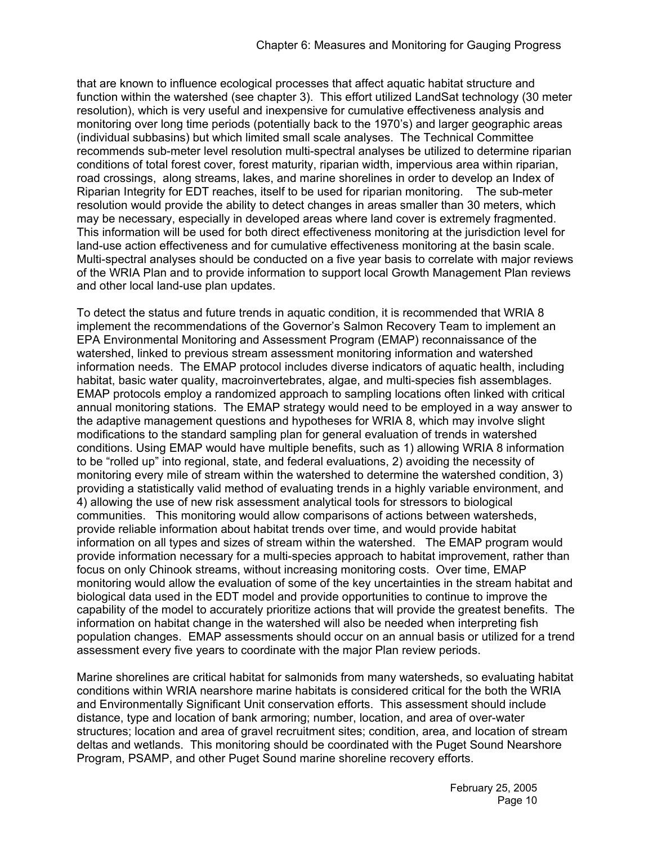that are known to influence ecological processes that affect aquatic habitat structure and function within the watershed (see chapter 3). This effort utilized LandSat technology (30 meter resolution), which is very useful and inexpensive for cumulative effectiveness analysis and monitoring over long time periods (potentially back to the 1970's) and larger geographic areas (individual subbasins) but which limited small scale analyses. The Technical Committee recommends sub-meter level resolution multi-spectral analyses be utilized to determine riparian conditions of total forest cover, forest maturity, riparian width, impervious area within riparian, road crossings, along streams, lakes, and marine shorelines in order to develop an Index of Riparian Integrity for EDT reaches, itself to be used for riparian monitoring. The sub-meter resolution would provide the ability to detect changes in areas smaller than 30 meters, which may be necessary, especially in developed areas where land cover is extremely fragmented. This information will be used for both direct effectiveness monitoring at the jurisdiction level for land-use action effectiveness and for cumulative effectiveness monitoring at the basin scale. Multi-spectral analyses should be conducted on a five year basis to correlate with major reviews of the WRIA Plan and to provide information to support local Growth Management Plan reviews and other local land-use plan updates.

To detect the status and future trends in aquatic condition, it is recommended that WRIA 8 implement the recommendations of the Governor's Salmon Recovery Team to implement an EPA Environmental Monitoring and Assessment Program (EMAP) reconnaissance of the watershed, linked to previous stream assessment monitoring information and watershed information needs. The EMAP protocol includes diverse indicators of aquatic health, including habitat, basic water quality, macroinvertebrates, algae, and multi-species fish assemblages. EMAP protocols employ a randomized approach to sampling locations often linked with critical annual monitoring stations. The EMAP strategy would need to be employed in a way answer to the adaptive management questions and hypotheses for WRIA 8, which may involve slight modifications to the standard sampling plan for general evaluation of trends in watershed conditions. Using EMAP would have multiple benefits, such as 1) allowing WRIA 8 information to be "rolled up" into regional, state, and federal evaluations, 2) avoiding the necessity of monitoring every mile of stream within the watershed to determine the watershed condition, 3) providing a statistically valid method of evaluating trends in a highly variable environment, and 4) allowing the use of new risk assessment analytical tools for stressors to biological communities. This monitoring would allow comparisons of actions between watersheds, provide reliable information about habitat trends over time, and would provide habitat information on all types and sizes of stream within the watershed. The EMAP program would provide information necessary for a multi-species approach to habitat improvement, rather than focus on only Chinook streams, without increasing monitoring costs. Over time, EMAP monitoring would allow the evaluation of some of the key uncertainties in the stream habitat and biological data used in the EDT model and provide opportunities to continue to improve the capability of the model to accurately prioritize actions that will provide the greatest benefits. The information on habitat change in the watershed will also be needed when interpreting fish population changes. EMAP assessments should occur on an annual basis or utilized for a trend assessment every five years to coordinate with the major Plan review periods.

Marine shorelines are critical habitat for salmonids from many watersheds, so evaluating habitat conditions within WRIA nearshore marine habitats is considered critical for the both the WRIA and Environmentally Significant Unit conservation efforts. This assessment should include distance, type and location of bank armoring; number, location, and area of over-water structures; location and area of gravel recruitment sites; condition, area, and location of stream deltas and wetlands. This monitoring should be coordinated with the Puget Sound Nearshore Program, PSAMP, and other Puget Sound marine shoreline recovery efforts.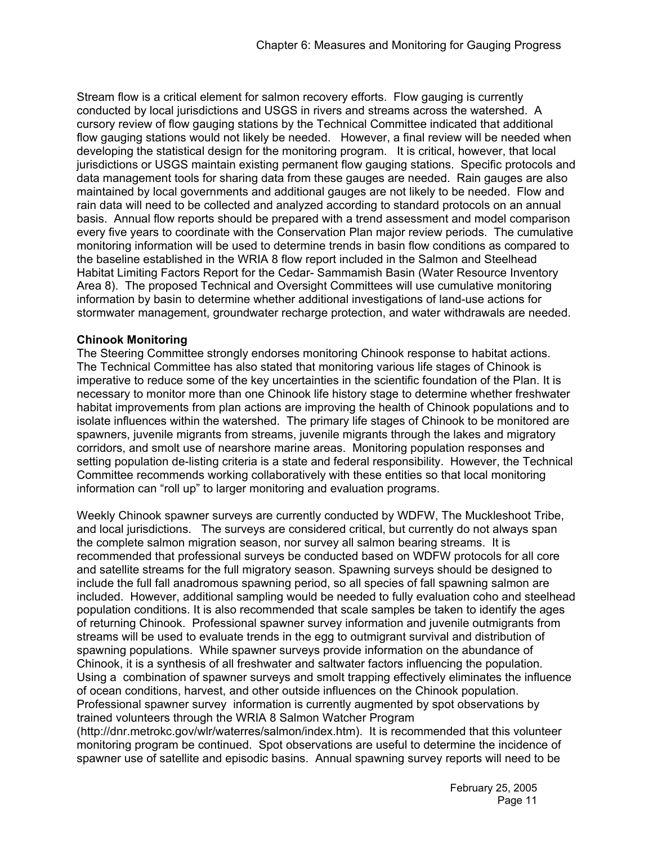Stream flow is a critical element for salmon recovery efforts. Flow gauging is currently conducted by local jurisdictions and USGS in rivers and streams across the watershed. A cursory review of flow gauging stations by the Technical Committee indicated that additional flow gauging stations would not likely be needed. However, a final review will be needed when developing the statistical design for the monitoring program. It is critical, however, that local jurisdictions or USGS maintain existing permanent flow gauging stations. Specific protocols and data management tools for sharing data from these gauges are needed. Rain gauges are also maintained by local governments and additional gauges are not likely to be needed. Flow and rain data will need to be collected and analyzed according to standard protocols on an annual basis. Annual flow reports should be prepared with a trend assessment and model comparison every five years to coordinate with the Conservation Plan major review periods. The cumulative monitoring information will be used to determine trends in basin flow conditions as compared to the baseline established in the WRIA 8 flow report included in the Salmon and Steelhead Habitat Limiting Factors Report for the Cedar- Sammamish Basin (Water Resource Inventory Area 8). The proposed Technical and Oversight Committees will use cumulative monitoring information by basin to determine whether additional investigations of land-use actions for stormwater management, groundwater recharge protection, and water withdrawals are needed.

## **Chinook Monitoring**

The Steering Committee strongly endorses monitoring Chinook response to habitat actions. The Technical Committee has also stated that monitoring various life stages of Chinook is imperative to reduce some of the key uncertainties in the scientific foundation of the Plan. It is necessary to monitor more than one Chinook life history stage to determine whether freshwater habitat improvements from plan actions are improving the health of Chinook populations and to isolate influences within the watershed. The primary life stages of Chinook to be monitored are spawners, juvenile migrants from streams, juvenile migrants through the lakes and migratory corridors, and smolt use of nearshore marine areas. Monitoring population responses and setting population de-listing criteria is a state and federal responsibility. However, the Technical Committee recommends working collaboratively with these entities so that local monitoring information can "roll up" to larger monitoring and evaluation programs.

Weekly Chinook spawner surveys are currently conducted by WDFW, The Muckleshoot Tribe, and local jurisdictions. The surveys are considered critical, but currently do not always span the complete salmon migration season, nor survey all salmon bearing streams. It is recommended that professional surveys be conducted based on WDFW protocols for all core and satellite streams for the full migratory season. Spawning surveys should be designed to include the full fall anadromous spawning period, so all species of fall spawning salmon are included. However, additional sampling would be needed to fully evaluation coho and steelhead population conditions. It is also recommended that scale samples be taken to identify the ages of returning Chinook. Professional spawner survey information and juvenile outmigrants from streams will be used to evaluate trends in the egg to outmigrant survival and distribution of spawning populations. While spawner surveys provide information on the abundance of Chinook, it is a synthesis of all freshwater and saltwater factors influencing the population. Using a combination of spawner surveys and smolt trapping effectively eliminates the influence of ocean conditions, harvest, and other outside influences on the Chinook population. Professional spawner survey information is currently augmented by spot observations by trained volunteers through the WRIA 8 Salmon Watcher Program

(http://dnr.metrokc.gov/wlr/waterres/salmon/index.htm). It is recommended that this volunteer monitoring program be continued. Spot observations are useful to determine the incidence of spawner use of satellite and episodic basins. Annual spawning survey reports will need to be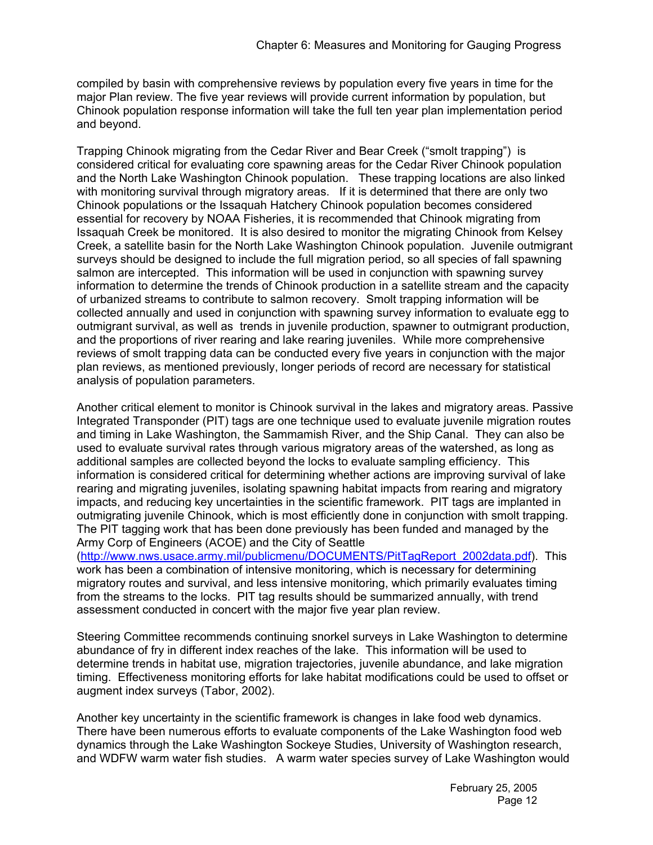compiled by basin with comprehensive reviews by population every five years in time for the major Plan review. The five year reviews will provide current information by population, but Chinook population response information will take the full ten year plan implementation period and beyond.

Trapping Chinook migrating from the Cedar River and Bear Creek ("smolt trapping") is considered critical for evaluating core spawning areas for the Cedar River Chinook population and the North Lake Washington Chinook population. These trapping locations are also linked with monitoring survival through migratory areas. If it is determined that there are only two Chinook populations or the Issaquah Hatchery Chinook population becomes considered essential for recovery by NOAA Fisheries, it is recommended that Chinook migrating from Issaquah Creek be monitored. It is also desired to monitor the migrating Chinook from Kelsey Creek, a satellite basin for the North Lake Washington Chinook population. Juvenile outmigrant surveys should be designed to include the full migration period, so all species of fall spawning salmon are intercepted. This information will be used in conjunction with spawning survey information to determine the trends of Chinook production in a satellite stream and the capacity of urbanized streams to contribute to salmon recovery. Smolt trapping information will be collected annually and used in conjunction with spawning survey information to evaluate egg to outmigrant survival, as well as trends in juvenile production, spawner to outmigrant production, and the proportions of river rearing and lake rearing juveniles. While more comprehensive reviews of smolt trapping data can be conducted every five years in conjunction with the major plan reviews, as mentioned previously, longer periods of record are necessary for statistical analysis of population parameters.

Another critical element to monitor is Chinook survival in the lakes and migratory areas. Passive Integrated Transponder (PIT) tags are one technique used to evaluate juvenile migration routes and timing in Lake Washington, the Sammamish River, and the Ship Canal. They can also be used to evaluate survival rates through various migratory areas of the watershed, as long as additional samples are collected beyond the locks to evaluate sampling efficiency. This information is considered critical for determining whether actions are improving survival of lake rearing and migrating juveniles, isolating spawning habitat impacts from rearing and migratory impacts, and reducing key uncertainties in the scientific framework. PIT tags are implanted in outmigrating juvenile Chinook, which is most efficiently done in conjunction with smolt trapping. The PIT tagging work that has been done previously has been funded and managed by the Army Corp of Engineers (ACOE) and the City of Seattle

(http://www.nws.usace.army.mil/publicmenu/DOCUMENTS/PitTagReport\_2002data.pdf). This work has been a combination of intensive monitoring, which is necessary for determining migratory routes and survival, and less intensive monitoring, which primarily evaluates timing from the streams to the locks. PIT tag results should be summarized annually, with trend assessment conducted in concert with the major five year plan review.

Steering Committee recommends continuing snorkel surveys in Lake Washington to determine abundance of fry in different index reaches of the lake. This information will be used to determine trends in habitat use, migration trajectories, juvenile abundance, and lake migration timing. Effectiveness monitoring efforts for lake habitat modifications could be used to offset or augment index surveys (Tabor, 2002).

Another key uncertainty in the scientific framework is changes in lake food web dynamics. There have been numerous efforts to evaluate components of the Lake Washington food web dynamics through the Lake Washington Sockeye Studies, University of Washington research, and WDFW warm water fish studies. A warm water species survey of Lake Washington would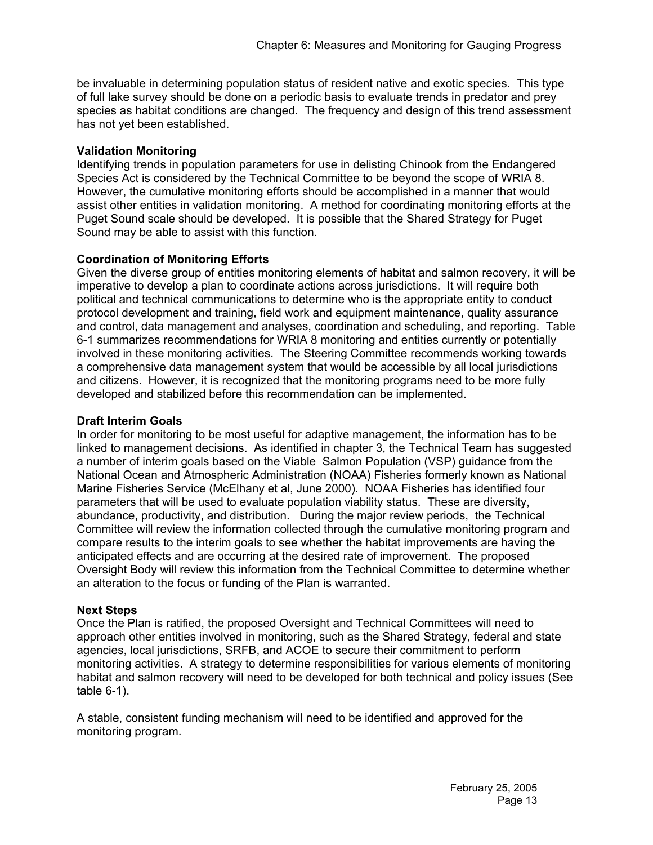be invaluable in determining population status of resident native and exotic species. This type of full lake survey should be done on a periodic basis to evaluate trends in predator and prey species as habitat conditions are changed. The frequency and design of this trend assessment has not yet been established.

# **Validation Monitoring**

Identifying trends in population parameters for use in delisting Chinook from the Endangered Species Act is considered by the Technical Committee to be beyond the scope of WRIA 8. However, the cumulative monitoring efforts should be accomplished in a manner that would assist other entities in validation monitoring. A method for coordinating monitoring efforts at the Puget Sound scale should be developed. It is possible that the Shared Strategy for Puget Sound may be able to assist with this function.

# **Coordination of Monitoring Efforts**

Given the diverse group of entities monitoring elements of habitat and salmon recovery, it will be imperative to develop a plan to coordinate actions across jurisdictions. It will require both political and technical communications to determine who is the appropriate entity to conduct protocol development and training, field work and equipment maintenance, quality assurance and control, data management and analyses, coordination and scheduling, and reporting. Table 6-1 summarizes recommendations for WRIA 8 monitoring and entities currently or potentially involved in these monitoring activities. The Steering Committee recommends working towards a comprehensive data management system that would be accessible by all local jurisdictions and citizens. However, it is recognized that the monitoring programs need to be more fully developed and stabilized before this recommendation can be implemented.

## **Draft Interim Goals**

In order for monitoring to be most useful for adaptive management, the information has to be linked to management decisions. As identified in chapter 3, the Technical Team has suggested a number of interim goals based on the Viable Salmon Population (VSP) guidance from the National Ocean and Atmospheric Administration (NOAA) Fisheries formerly known as National Marine Fisheries Service (McElhany et al, June 2000). NOAA Fisheries has identified four parameters that will be used to evaluate population viability status. These are diversity, abundance, productivity, and distribution. During the major review periods, the Technical Committee will review the information collected through the cumulative monitoring program and compare results to the interim goals to see whether the habitat improvements are having the anticipated effects and are occurring at the desired rate of improvement. The proposed Oversight Body will review this information from the Technical Committee to determine whether an alteration to the focus or funding of the Plan is warranted.

## **Next Steps**

Once the Plan is ratified, the proposed Oversight and Technical Committees will need to approach other entities involved in monitoring, such as the Shared Strategy, federal and state agencies, local jurisdictions, SRFB, and ACOE to secure their commitment to perform monitoring activities. A strategy to determine responsibilities for various elements of monitoring habitat and salmon recovery will need to be developed for both technical and policy issues (See table 6-1).

A stable, consistent funding mechanism will need to be identified and approved for the monitoring program.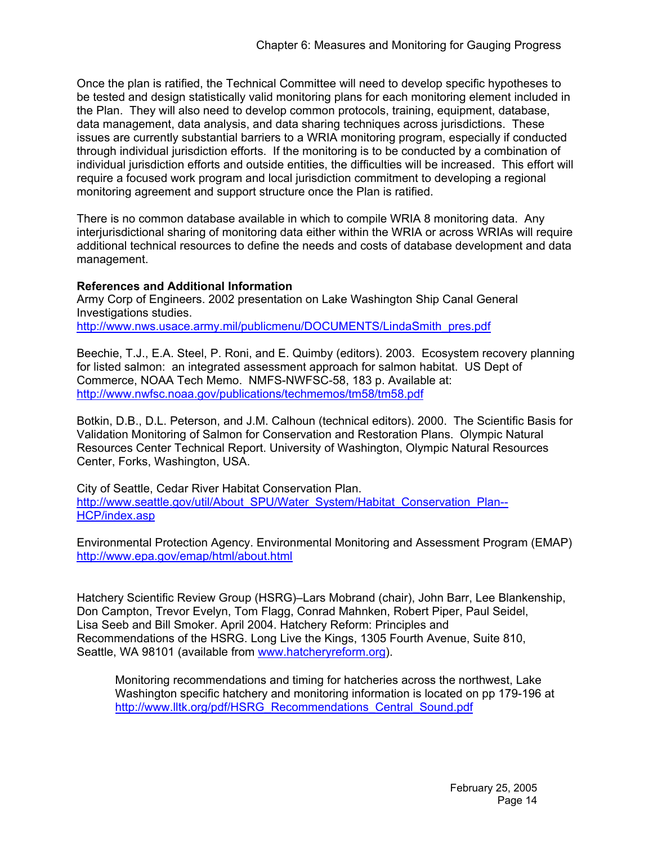Once the plan is ratified, the Technical Committee will need to develop specific hypotheses to be tested and design statistically valid monitoring plans for each monitoring element included in the Plan. They will also need to develop common protocols, training, equipment, database, data management, data analysis, and data sharing techniques across jurisdictions. These issues are currently substantial barriers to a WRIA monitoring program, especially if conducted through individual jurisdiction efforts. If the monitoring is to be conducted by a combination of individual jurisdiction efforts and outside entities, the difficulties will be increased. This effort will require a focused work program and local jurisdiction commitment to developing a regional monitoring agreement and support structure once the Plan is ratified.

There is no common database available in which to compile WRIA 8 monitoring data. Any interjurisdictional sharing of monitoring data either within the WRIA or across WRIAs will require additional technical resources to define the needs and costs of database development and data management.

# **References and Additional Information**

Army Corp of Engineers. 2002 presentation on Lake Washington Ship Canal General Investigations studies. http://www.nws.usace.army.mil/publicmenu/DOCUMENTS/LindaSmith\_pres.pdf

Beechie, T.J., E.A. Steel, P. Roni, and E. Quimby (editors). 2003. Ecosystem recovery planning for listed salmon: an integrated assessment approach for salmon habitat. US Dept of Commerce, NOAA Tech Memo. NMFS-NWFSC-58, 183 p. Available at: http://www.nwfsc.noaa.gov/publications/techmemos/tm58/tm58.pdf

Botkin, D.B., D.L. Peterson, and J.M. Calhoun (technical editors). 2000. The Scientific Basis for Validation Monitoring of Salmon for Conservation and Restoration Plans. Olympic Natural Resources Center Technical Report. University of Washington, Olympic Natural Resources Center, Forks, Washington, USA.

City of Seattle, Cedar River Habitat Conservation Plan. http://www.seattle.gov/util/About\_SPU/Water\_System/Habitat\_Conservation\_Plan--HCP/index.asp

Environmental Protection Agency. Environmental Monitoring and Assessment Program (EMAP) http://www.epa.gov/emap/html/about.html

Hatchery Scientific Review Group (HSRG)–Lars Mobrand (chair), John Barr, Lee Blankenship, Don Campton, Trevor Evelyn, Tom Flagg, Conrad Mahnken, Robert Piper, Paul Seidel, Lisa Seeb and Bill Smoker. April 2004. Hatchery Reform: Principles and Recommendations of the HSRG. Long Live the Kings, 1305 Fourth Avenue, Suite 810, Seattle, WA 98101 (available from www.hatcheryreform.org).

Monitoring recommendations and timing for hatcheries across the northwest, Lake Washington specific hatchery and monitoring information is located on pp 179-196 at http://www.lltk.org/pdf/HSRG\_Recommendations\_Central\_Sound.pdf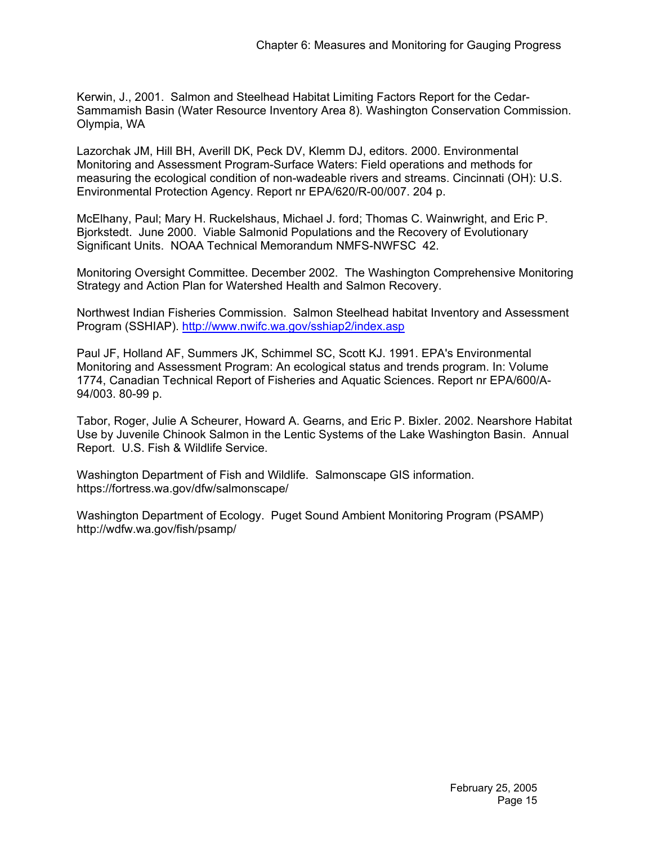Kerwin, J., 2001. Salmon and Steelhead Habitat Limiting Factors Report for the Cedar-Sammamish Basin (Water Resource Inventory Area 8). Washington Conservation Commission. Olympia, WA

Lazorchak JM, Hill BH, Averill DK, Peck DV, Klemm DJ, editors. 2000. Environmental Monitoring and Assessment Program-Surface Waters: Field operations and methods for measuring the ecological condition of non-wadeable rivers and streams. Cincinnati (OH): U.S. Environmental Protection Agency. Report nr EPA/620/R-00/007. 204 p.

McElhany, Paul; Mary H. Ruckelshaus, Michael J. ford; Thomas C. Wainwright, and Eric P. Bjorkstedt. June 2000. Viable Salmonid Populations and the Recovery of Evolutionary Significant Units. NOAA Technical Memorandum NMFS-NWFSC 42.

Monitoring Oversight Committee. December 2002. The Washington Comprehensive Monitoring Strategy and Action Plan for Watershed Health and Salmon Recovery.

Northwest Indian Fisheries Commission. Salmon Steelhead habitat Inventory and Assessment Program (SSHIAP). http://www.nwifc.wa.gov/sshiap2/index.asp

Paul JF, Holland AF, Summers JK, Schimmel SC, Scott KJ. 1991. EPA's Environmental Monitoring and Assessment Program: An ecological status and trends program. In: Volume 1774, Canadian Technical Report of Fisheries and Aquatic Sciences. Report nr EPA/600/A-94/003. 80-99 p.

Tabor, Roger, Julie A Scheurer, Howard A. Gearns, and Eric P. Bixler. 2002. Nearshore Habitat Use by Juvenile Chinook Salmon in the Lentic Systems of the Lake Washington Basin. Annual Report. U.S. Fish & Wildlife Service.

Washington Department of Fish and Wildlife. Salmonscape GIS information. https://fortress.wa.gov/dfw/salmonscape/

Washington Department of Ecology. Puget Sound Ambient Monitoring Program (PSAMP) http://wdfw.wa.gov/fish/psamp/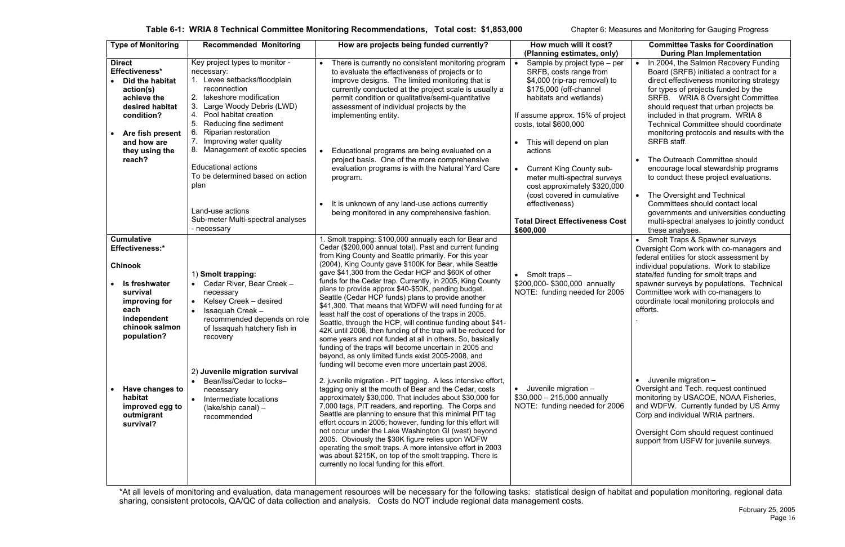\*At all levels of monitoring and evaluation, data management resources will be necessary for the following tasks: statistical design of habitat and population monitoring, regional data sharing, consistent protocols, QA/QC of data collection and analysis. Costs do NOT include regional data management costs.

| <b>Type of Monitoring</b>                                                                                                                                                                                                  | <b>Recommended Monitoring</b>                                                                                                                                                                                                                                                                                                                                                                                                                          | How are projects being funded currently?                                                                                                                                                                                                                                                                                                                                                                                                                                                                                                                                                                                                                                                                                                                                                                                                                                                                                                                                                                                                                                                                                                                                                                                                                                                                                                                                                                                                                                                                                 | How much will it cost?<br>(Planning estimates, only)                                                                                                                                                                                                                                                                                                                                                                                          | <b>Committee Tasks for Coordination</b><br><b>During Plan Implementation</b>                                                                                                                                                                                                                                                                                                                                                                                                                                                                                                                                                                                                                           |
|----------------------------------------------------------------------------------------------------------------------------------------------------------------------------------------------------------------------------|--------------------------------------------------------------------------------------------------------------------------------------------------------------------------------------------------------------------------------------------------------------------------------------------------------------------------------------------------------------------------------------------------------------------------------------------------------|--------------------------------------------------------------------------------------------------------------------------------------------------------------------------------------------------------------------------------------------------------------------------------------------------------------------------------------------------------------------------------------------------------------------------------------------------------------------------------------------------------------------------------------------------------------------------------------------------------------------------------------------------------------------------------------------------------------------------------------------------------------------------------------------------------------------------------------------------------------------------------------------------------------------------------------------------------------------------------------------------------------------------------------------------------------------------------------------------------------------------------------------------------------------------------------------------------------------------------------------------------------------------------------------------------------------------------------------------------------------------------------------------------------------------------------------------------------------------------------------------------------------------|-----------------------------------------------------------------------------------------------------------------------------------------------------------------------------------------------------------------------------------------------------------------------------------------------------------------------------------------------------------------------------------------------------------------------------------------------|--------------------------------------------------------------------------------------------------------------------------------------------------------------------------------------------------------------------------------------------------------------------------------------------------------------------------------------------------------------------------------------------------------------------------------------------------------------------------------------------------------------------------------------------------------------------------------------------------------------------------------------------------------------------------------------------------------|
| <b>Direct</b><br>Effectiveness*<br>Did the habitat<br>action(s)<br>achieve the<br>desired habitat<br>condition?<br>Are fish present<br>and how are<br>they using the<br>reach?                                             | Key project types to monitor -<br>necessary:<br>Levee setbacks/floodplain<br>reconnection<br>lakeshore modification<br>Large Woody Debris (LWD)<br>Pool habitat creation<br>5.<br>Reducing fine sediment<br>6.<br>Riparian restoration<br>Improving water quality<br>8. Management of exotic species<br><b>Educational actions</b><br>To be determined based on action<br>plan<br>Land-use actions<br>Sub-meter Multi-spectral analyses<br>- necessary | There is currently no consistent monitoring program<br>to evaluate the effectiveness of projects or to<br>improve designs. The limited monitoring that is<br>currently conducted at the project scale is usually a<br>permit condition or qualitative/semi-quantitative<br>assessment of individual projects by the<br>implementing entity.<br>Educational programs are being evaluated on a<br>project basis. One of the more comprehensive<br>evaluation programs is with the Natural Yard Care<br>program.<br>It is unknown of any land-use actions currently<br>being monitored in any comprehensive fashion.                                                                                                                                                                                                                                                                                                                                                                                                                                                                                                                                                                                                                                                                                                                                                                                                                                                                                                        | Sample by project type – per<br>SRFB, costs range from<br>\$4,000 (rip-rap removal) to<br>\$175,000 (off-channel<br>habitats and wetlands)<br>If assume approx. 15% of project<br>costs, total \$600,000<br>This will depend on plan<br>actions<br><b>Current King County sub-</b><br>meter multi-spectral surveys<br>cost approximately \$320,000<br>(cost covered in cumulative<br>effectiveness)<br><b>Total Direct Effectiveness Cost</b> | In 2004, the Salmon Recovery Funding<br>$\bullet$<br>Board (SRFB) initiated a contract for a<br>direct effectiveness monitoring strategy<br>for types of projects funded by the<br>SRFB. WRIA 8 Oversight Committee<br>should request that urban projects be<br>included in that program. WRIA 8<br><b>Technical Committee should coordinate</b><br>monitoring protocols and results with the<br>SRFB staff.<br>The Outreach Committee should<br>encourage local stewardship programs<br>to conduct these project evaluations.<br>The Oversight and Technical<br>$\bullet$<br>Committees should contact local<br>governments and universities conducting<br>multi-spectral analyses to jointly conduct |
| <b>Cumulative</b>                                                                                                                                                                                                          |                                                                                                                                                                                                                                                                                                                                                                                                                                                        | 1. Smolt trapping: \$100,000 annually each for Bear and                                                                                                                                                                                                                                                                                                                                                                                                                                                                                                                                                                                                                                                                                                                                                                                                                                                                                                                                                                                                                                                                                                                                                                                                                                                                                                                                                                                                                                                                  | \$600,000                                                                                                                                                                                                                                                                                                                                                                                                                                     | these analyses.<br>Smolt Traps & Spawner surveys                                                                                                                                                                                                                                                                                                                                                                                                                                                                                                                                                                                                                                                       |
| <b>Effectiveness:*</b><br><b>Chinook</b><br>Is freshwater<br>survival<br>improving for<br>each<br>independent<br>chinook salmon<br>population?<br>Have changes to<br>habitat<br>improved egg to<br>outmigrant<br>survival? | 1) Smolt trapping:<br>Cedar River, Bear Creek -<br>necessary<br>Kelsey Creek - desired<br>$\bullet$<br><b>Issaquah Creek -</b><br>recommended depends on role<br>of Issaquah hatchery fish in<br>recovery<br>2) Juvenile migration survival<br>Bear/Iss/Cedar to locks-<br>$\bullet$<br>necessary<br>Intermediate locations<br>$\bullet$<br>$(lake/ship canal)$ –<br>recommended                                                                       | Cedar (\$200,000 annual total). Past and current funding<br>from King County and Seattle primarily. For this year<br>(2004), King County gave \$100K for Bear, while Seattle<br>gave \$41,300 from the Cedar HCP and \$60K of other<br>funds for the Cedar trap. Currently, in 2005, King County<br>plans to provide approx \$40-\$50K, pending budget.<br>Seattle (Cedar HCP funds) plans to provide another<br>\$41,300. That means that WDFW will need funding for at<br>least half the cost of operations of the traps in 2005.<br>Seattle, through the HCP, will continue funding about \$41-<br>42K until 2008, then funding of the trap will be reduced for<br>some years and not funded at all in others. So, basically<br>funding of the traps will become uncertain in 2005 and<br>beyond, as only limited funds exist 2005-2008, and<br>funding will become even more uncertain past 2008.<br>2. juvenile migration - PIT tagging. A less intensive effort,<br>tagging only at the mouth of Bear and the Cedar, costs<br>approximately \$30,000. That includes about \$30,000 for<br>7,000 tags, PIT readers, and reporting. The Corps and<br>Seattle are planning to ensure that this minimal PIT tag<br>effort occurs in 2005; however, funding for this effort will<br>not occur under the Lake Washington GI (west) beyond<br>2005. Obviously the \$30K figure relies upon WDFW<br>operating the smolt traps. A more intensive effort in 2003<br>was about \$215K, on top of the smolt trapping. There is | $\bullet$ Smolt traps $-$<br>\$200,000-\$300,000 annually<br>NOTE: funding needed for 2005<br>Juvenile migration -<br>$$30,000 - 215,000$ annually<br>NOTE: funding needed for 2006                                                                                                                                                                                                                                                           | Oversight Com work with co-managers and<br>federal entities for stock assessment by<br>individual populations. Work to stabilize<br>state/fed funding for smolt traps and<br>spawner surveys by populations. Technical<br>Committee work with co-managers to<br>coordinate local monitoring protocols and<br>efforts.<br>Juvenile migration -<br>Oversight and Tech. request continued<br>monitoring by USACOE, NOAA Fisheries,<br>and WDFW. Currently funded by US Army<br>Corp and individual WRIA partners.<br>Oversight Com should request continued<br>support from USFW for juvenile surveys.                                                                                                    |
|                                                                                                                                                                                                                            |                                                                                                                                                                                                                                                                                                                                                                                                                                                        | currently no local funding for this effort.<br>$\sim$ 0.00 $\pm$ 0.000 $\pm$ 0.000 $\pm$ 0.000 $\pm$                                                                                                                                                                                                                                                                                                                                                                                                                                                                                                                                                                                                                                                                                                                                                                                                                                                                                                                                                                                                                                                                                                                                                                                                                                                                                                                                                                                                                     |                                                                                                                                                                                                                                                                                                                                                                                                                                               |                                                                                                                                                                                                                                                                                                                                                                                                                                                                                                                                                                                                                                                                                                        |